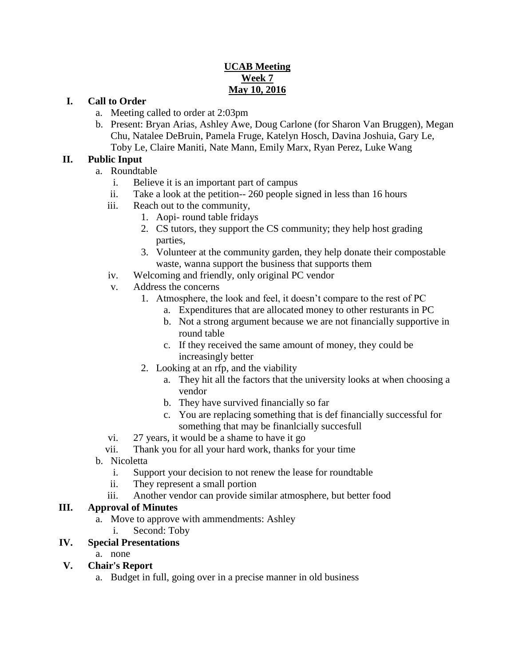# **UCAB Meeting Week 7 May 10, 2016**

### **I. Call to Order**

- a. Meeting called to order at 2:03pm
- b. Present: Bryan Arias, Ashley Awe, Doug Carlone (for Sharon Van Bruggen), Megan Chu, Natalee DeBruin, Pamela Fruge, Katelyn Hosch, Davina Joshuia, Gary Le, Toby Le, Claire Maniti, Nate Mann, Emily Marx, Ryan Perez, Luke Wang

#### **II. Public Input**

- a. Roundtable
	- i. Believe it is an important part of campus
	- ii. Take a look at the petition-- 260 people signed in less than 16 hours
	- iii. Reach out to the community,
		- 1. Aopi- round table fridays
		- 2. CS tutors, they support the CS community; they help host grading parties,
		- 3. Volunteer at the community garden, they help donate their compostable waste, wanna support the business that supports them
	- iv. Welcoming and friendly, only original PC vendor
	- v. Address the concerns
		- 1. Atmosphere, the look and feel, it doesn't compare to the rest of PC
			- a. Expenditures that are allocated money to other resturants in PC
			- b. Not a strong argument because we are not financially supportive in round table
			- c. If they received the same amount of money, they could be increasingly better
		- 2. Looking at an rfp, and the viability
			- a. They hit all the factors that the university looks at when choosing a vendor
			- b. They have survived financially so far
			- c. You are replacing something that is def financially successful for something that may be finanlcially succesfull
	- vi. 27 years, it would be a shame to have it go
	- vii. Thank you for all your hard work, thanks for your time
- b. Nicoletta
	- i. Support your decision to not renew the lease for roundtable
	- ii. They represent a small portion
	- iii. Another vendor can provide similar atmosphere, but better food

### **III. Approval of Minutes**

- a. Move to approve with ammendments: Ashley
	- i. Second: Toby

### **IV. Special Presentations**

a. none

### **V. Chair's Report**

a. Budget in full, going over in a precise manner in old business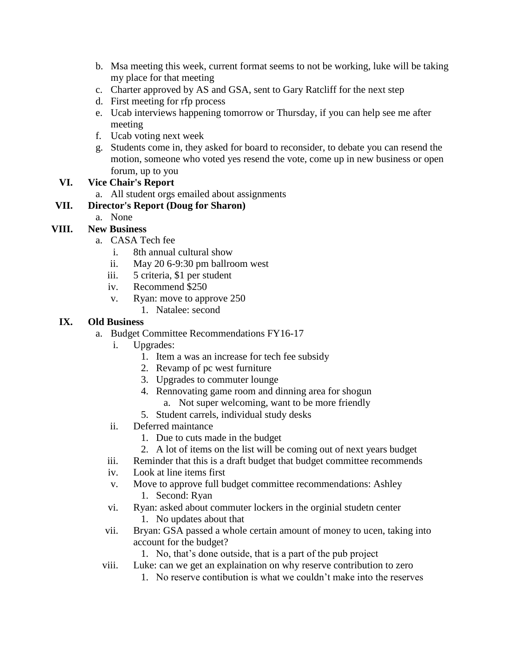- b. Msa meeting this week, current format seems to not be working, luke will be taking my place for that meeting
- c. Charter approved by AS and GSA, sent to Gary Ratcliff for the next step
- d. First meeting for rfp process
- e. Ucab interviews happening tomorrow or Thursday, if you can help see me after meeting
- f. Ucab voting next week
- g. Students come in, they asked for board to reconsider, to debate you can resend the motion, someone who voted yes resend the vote, come up in new business or open forum, up to you

## **VI. Vice Chair's Report**

a. All student orgs emailed about assignments

## **VII. Director's Report (Doug for Sharon)**

a. None

# **VIII. New Business**

- a. CASA Tech fee
	- i. 8th annual cultural show
	- ii. May 20 6-9:30 pm ballroom west
	- iii. 5 criteria, \$1 per student
	- iv. Recommend \$250
	- v. Ryan: move to approve 250
		- 1. Natalee: second

## **IX. Old Business**

- a. Budget Committee Recommendations FY16-17
	- i. Upgrades:
		- 1. Item a was an increase for tech fee subsidy
		- 2. Revamp of pc west furniture
		- 3. Upgrades to commuter lounge
		- 4. Rennovating game room and dinning area for shogun
			- a. Not super welcoming, want to be more friendly
		- 5. Student carrels, individual study desks
	- ii. Deferred maintance
		- 1. Due to cuts made in the budget
		- 2. A lot of items on the list will be coming out of next years budget
	- iii. Reminder that this is a draft budget that budget committee recommends
	- iv. Look at line items first
	- v. Move to approve full budget committee recommendations: Ashley 1. Second: Ryan
	- vi. Ryan: asked about commuter lockers in the orginial studetn center 1. No updates about that
	- vii. Bryan: GSA passed a whole certain amount of money to ucen, taking into account for the budget?

1. No, that's done outside, that is a part of the pub project

- viii. Luke: can we get an explaination on why reserve contribution to zero
	- 1. No reserve contibution is what we couldn't make into the reserves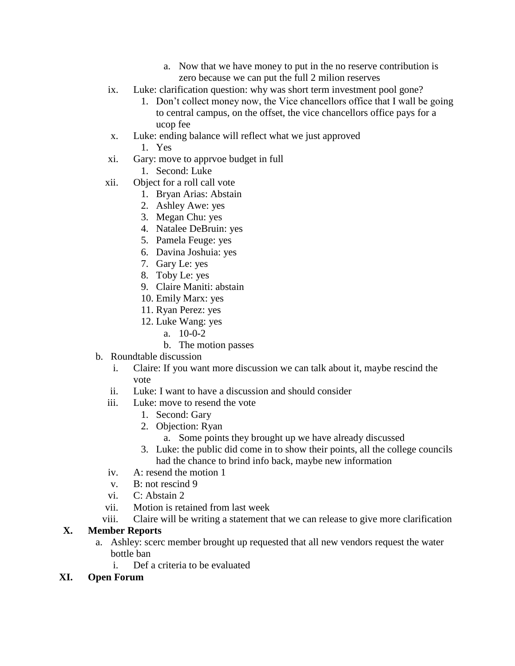- a. Now that we have money to put in the no reserve contribution is zero because we can put the full 2 milion reserves
- ix. Luke: clarification question: why was short term investment pool gone?
	- 1. Don't collect money now, the Vice chancellors office that I wall be going to central campus, on the offset, the vice chancellors office pays for a ucop fee
- x. Luke: ending balance will reflect what we just approved
	- 1. Yes
- xi. Gary: move to apprvoe budget in full
	- 1. Second: Luke
- xii. Object for a roll call vote
	- 1. Bryan Arias: Abstain
		- 2. Ashley Awe: yes
	- 3. Megan Chu: yes
	- 4. Natalee DeBruin: yes
	- 5. Pamela Feuge: yes
	- 6. Davina Joshuia: yes
	- 7. Gary Le: yes
	- 8. Toby Le: yes
	- 9. Claire Maniti: abstain
	- 10. Emily Marx: yes
	- 11. Ryan Perez: yes
	- 12. Luke Wang: yes
		- a. 10-0-2
		- b. The motion passes
- b. Roundtable discussion
	- i. Claire: If you want more discussion we can talk about it, maybe rescind the vote
	- ii. Luke: I want to have a discussion and should consider
	- iii. Luke: move to resend the vote
		- 1. Second: Gary
		- 2. Objection: Ryan
			- a. Some points they brought up we have already discussed
		- 3. Luke: the public did come in to show their points, all the college councils had the chance to brind info back, maybe new information
	- iv. A: resend the motion 1
	- v. B: not rescind 9
	- vi. C: Abstain 2
	- vii. Motion is retained from last week
	- viii. Claire will be writing a statement that we can release to give more clarification

# **X. Member Reports**

- a. Ashley: scerc member brought up requested that all new vendors request the water bottle ban
	- i. Def a criteria to be evaluated

### **XI. Open Forum**